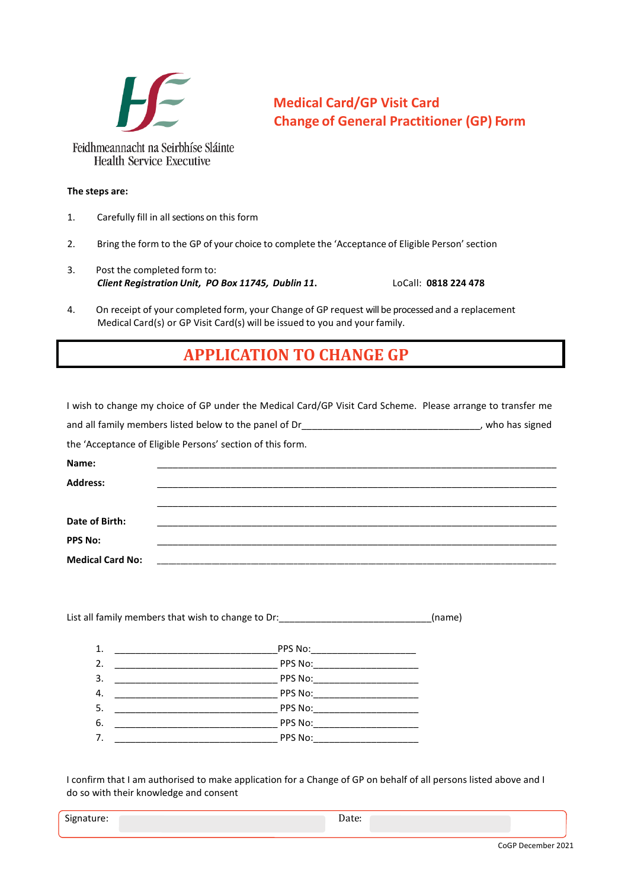

## **Medical Card/GP Visit Card Change of General Practitioner (GP) Form**

**The steps are:**

- 1. Carefully fill in all sections on this form
- 2. Bring the form to the GP of your choice to complete the 'Acceptance of Eligible Person' section
- 3. Post the completed form to: *Client Registration Unit, PO Box 11745, Dublin 11***.** LoCall: **0818 224 478**

4. On receipt of your completed form, your Change of GP request will be processed and a replacement Medical Card(s) or GP Visit Card(s) will be issued to you and your family.

## **APPLICATION TO CHANGE GP**

| I wish to change my choice of GP under the Medical Card/GP Visit Card Scheme. Please arrange to transfer me |  |  |  |
|-------------------------------------------------------------------------------------------------------------|--|--|--|
| and all family members listed below to the panel of Dr___________________________________, who has signed   |  |  |  |
| the 'Acceptance of Eligible Persons' section of this form.                                                  |  |  |  |
| Name:                                                                                                       |  |  |  |
| <b>Address:</b>                                                                                             |  |  |  |
|                                                                                                             |  |  |  |
| Date of Birth:                                                                                              |  |  |  |
| <b>PPS No:</b>                                                                                              |  |  |  |
| <b>Medical Card No:</b>                                                                                     |  |  |  |

List all family members that wish to change to Dr:\_\_\_\_\_\_\_\_\_\_\_\_\_\_\_\_\_\_\_\_\_\_\_\_\_\_\_\_\_\_(name)

| 1. |                                                                                                      |  |
|----|------------------------------------------------------------------------------------------------------|--|
| 2. | PPS No:<br>the control of the control of the control of the control of the control of the control of |  |
| 3. | PPS No: __________________________                                                                   |  |
| 4. | PPS No:_____________________                                                                         |  |
| 5. | PPS No:                                                                                              |  |
| 6. | PPS No:                                                                                              |  |
| 7. | PPS No:                                                                                              |  |

I confirm that I am authorised to make application for a Change of GP on behalf of all persons listed above and I do so with their knowledge and consent

| $\sim$<br>Signature:<br>-ס<br>$\overline{\phantom{0}}$ |  | Dale. |  |
|--------------------------------------------------------|--|-------|--|
|--------------------------------------------------------|--|-------|--|